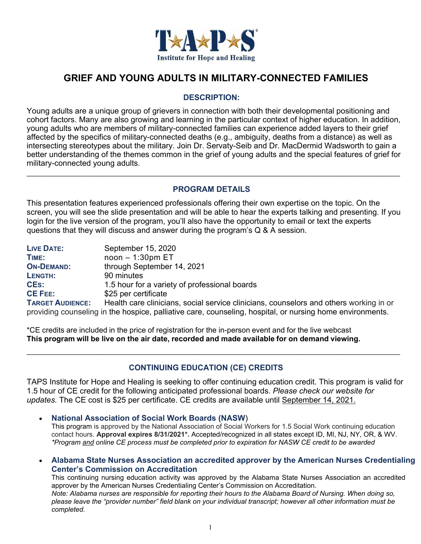

# **GRIEF AND YOUNG ADULTS IN MILITARY-CONNECTED FAMILIES**

### **DESCRIPTION:**

Young adults are a unique group of grievers in connection with both their developmental positioning and cohort factors. Many are also growing and learning in the particular context of higher education. In addition, young adults who are members of military-connected families can experience added layers to their grief affected by the specifics of military-connected deaths (e.g., ambiguity, deaths from a distance) as well as intersecting stereotypes about the military. Join Dr. Servaty-Seib and Dr. MacDermid Wadsworth to gain a better understanding of the themes common in the grief of young adults and the special features of grief for military-connected young adults.

### **PROGRAM DETAILS**

 $\_$  , and the contribution of the contribution of the contribution of the contribution of the contribution of  $\mathcal{L}_\text{max}$ 

This presentation features experienced professionals offering their own expertise on the topic. On the screen, you will see the slide presentation and will be able to hear the experts talking and presenting. If you login for the live version of the program, you'll also have the opportunity to email or text the experts questions that they will discuss and answer during the program's Q & A session.

| <b>LIVE DATE:</b>       | September 15, 2020                                                                                        |
|-------------------------|-----------------------------------------------------------------------------------------------------------|
| TIME:                   | $noon - 1:30pm E$                                                                                         |
| <b>ON-DEMAND:</b>       | through September 14, 2021                                                                                |
| LENGTH:                 | 90 minutes                                                                                                |
| CEs:                    | 1.5 hour for a variety of professional boards                                                             |
| <b>CE FEE:</b>          | \$25 per certificate                                                                                      |
| <b>TARGET AUDIENCE:</b> | Health care clinicians, social service clinicians, counselors and others working in or                    |
|                         | providing counseling in the hospice, palliative care, counseling, hospital, or nursing home environments. |

\*CE credits are included in the price of registration for the in-person event and for the live webcast **This program will be live on the air date, recorded and made available for on demand viewing.**

### **CONTINUING EDUCATION (CE) CREDITS**

 $\_$  , and the contribution of the contribution of the contribution of the contribution of  $\mathcal{L}_\mathcal{A}$ 

TAPS Institute for Hope and Healing is seeking to offer continuing education credit. This program is valid for 1.5 hour of CE credit for the following anticipated professional boards. *Please check our website for updates.* The CE cost is \$25 per certificate. CE credits are available until September 14, 2021.

- **National Association of Social Work Boards (NASW**) This program is approved by the National Association of Social Workers for 1.5 Social Work continuing education contact hours. **Approval expires 8/31/2021\*.** Accepted/recognized in all states except ID, MI, NJ, NY, OR, & WV. *\*Program and online CE process must be completed prior to expiration for NASW CE credit to be awarded*
- **Alabama State Nurses Association an accredited approver by the American Nurses Credentialing Center's Commission on Accreditation**

This continuing nursing education activity was approved by the Alabama State Nurses Association an accredited approver by the American Nurses Credentialing Center's Commission on Accreditation. *Note: Alabama nurses are responsible for reporting their hours to the Alabama Board of Nursing. When doing so, please leave the "provider number" field blank on your individual transcript; however all other information must be completed.*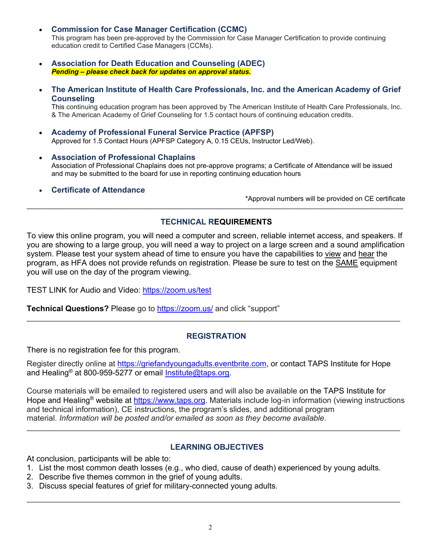- **Commission for Case Manager Certification (CCMC)** This program has been pre-approved by the Commission for Case Manager Certification to provide continuing education credit to Certified Case Managers (CCMs).
- **Association for Death Education and Counseling (ADEC)** *Pending – please check back for updates on approval status***.**
- **The American Institute of Health Care Professionals, Inc. and the American Academy of Grief Counseling**

This continuing education program has been approved by The American Institute of Health Care Professionals, Inc. & The American Academy of Grief Counseling for 1.5 contact hours of continuing education credits.

- **Academy of Professional Funeral Service Practice (APFSP)** Approved for 1.5 Contact Hours (APFSP Category A, 0.15 CEUs, Instructor Led/Web).
- **Association of Professional Chaplains** Association of Professional Chaplains does not pre-approve programs; a Certificate of Attendance will be issued and may be submitted to the board for use in reporting continuing education hours
- **Certificate of Attendance**

\*Approval numbers will be provided on CE certificate

### **TECHNICAL REQUIREMENTS**

\_\_\_\_\_\_\_\_\_\_\_\_\_\_\_\_\_\_\_\_\_\_\_\_\_\_\_\_\_\_\_\_\_\_\_\_\_\_\_\_\_\_\_\_\_\_\_\_\_\_\_\_\_\_\_\_\_\_\_\_\_\_\_\_\_\_\_\_\_\_\_\_\_\_\_\_\_\_\_\_\_\_\_\_\_\_\_\_\_\_\_\_\_\_\_\_\_\_\_\_\_\_\_\_\_\_\_\_\_\_

To view this online program, you will need a computer and screen, reliable internet access, and speakers. If you are showing to a large group, you will need a way to project on a large screen and a sound amplification system. Please test your system ahead of time to ensure you have the capabilities to view and hear the program, as HFA does not provide refunds on registration. Please be sure to test on the SAME equipment you will use on the day of the program viewing.

TEST LINK for Audio and Video: https://zoom.us/test

**Technical Questions?** Please go to https://zoom.us/ and click "support"

### **REGISTRATION**

 $\_$  , and the contribution of the contribution of the contribution of the contribution of  $\mathcal{L}_\mathcal{A}$ 

There is no registration fee for this program.

Register directly online at https://griefandyoungadults.eventbrite.com, or contact TAPS Institute for Hope and Healing<sup>®</sup> at 800-959-5277 or email Institute@taps.org.

Course materials will be emailed to registered users and will also be available on the TAPS Institute for Hope and Healing<sup>®</sup> website at https://www.taps.org. Materials include log-in information (viewing instructions and technical information), CE instructions, the program's slides, and additional program material. *Information will be posted and/or emailed as soon as they become available.* 

 $\_$  , and the contribution of the contribution of the contribution of the contribution of  $\mathcal{L}_\mathcal{A}$ 

### **LEARNING OBJECTIVES**

At conclusion, participants will be able to:

- 1. List the most common death losses (e.g., who died, cause of death) experienced by young adults.
- 2. Describe five themes common in the grief of young adults.
- 3. Discuss special features of grief for military-connected young adults.

 $\_$  , and the contribution of the contribution of the contribution of the contribution of the contribution of  $\mathcal{L}_\text{max}$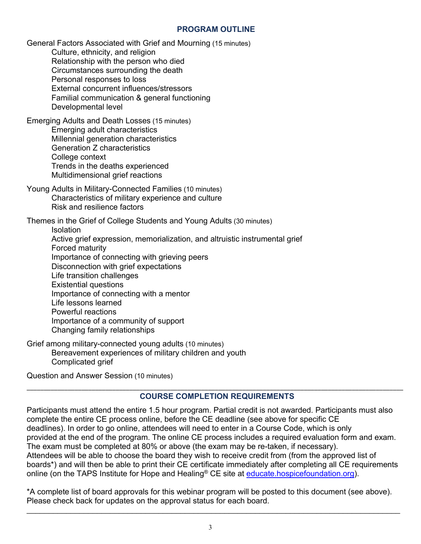### **PROGRAM OUTLINE**

General Factors Associated with Grief and Mourning (15 minutes) Culture, ethnicity, and religion Relationship with the person who died Circumstances surrounding the death Personal responses to loss External concurrent influences/stressors Familial communication & general functioning Developmental level Emerging Adults and Death Losses (15 minutes) Emerging adult characteristics Millennial generation characteristics Generation Z characteristics College context Trends in the deaths experienced Multidimensional grief reactions Young Adults in Military-Connected Families (10 minutes) Characteristics of military experience and culture Risk and resilience factors Themes in the Grief of College Students and Young Adults (30 minutes) Isolation Active grief expression, memorialization, and altruistic instrumental grief Forced maturity Importance of connecting with grieving peers Disconnection with grief expectations Life transition challenges Existential questions Importance of connecting with a mentor Life lessons learned Powerful reactions Importance of a community of support Changing family relationships Grief among military-connected young adults (10 minutes) Bereavement experiences of military children and youth

Complicated grief

Question and Answer Session (10 minutes)

#### \_\_\_\_\_\_\_\_\_\_\_\_\_\_\_\_\_\_\_\_\_\_\_\_\_\_\_\_\_\_\_\_\_\_\_\_\_\_\_\_\_\_\_\_\_\_\_\_\_\_\_\_\_\_\_\_\_\_\_\_\_\_\_\_\_\_\_\_\_\_\_\_\_\_\_\_\_\_\_\_\_\_\_\_\_\_\_\_\_\_\_\_\_\_\_\_\_\_\_\_\_\_\_\_\_\_\_\_\_\_ **COURSE COMPLETION REQUIREMENTS**

Participants must attend the entire 1.5 hour program. Partial credit is not awarded. Participants must also complete the entire CE process online, before the CE deadline (see above for specific CE deadlines). In order to go online, attendees will need to enter in a Course Code, which is only provided at the end of the program. The online CE process includes a required evaluation form and exam. The exam must be completed at 80% or above (the exam may be re-taken, if necessary). Attendees will be able to choose the board they wish to receive credit from (from the approved list of boards\*) and will then be able to print their CE certificate immediately after completing all CE requirements online (on the TAPS Institute for Hope and Healing<sup>®</sup> CE site at educate.hospicefoundation.org).

\*A complete list of board approvals for this webinar program will be posted to this document (see above). Please check back for updates on the approval status for each board.

\_\_\_\_\_\_\_\_\_\_\_\_\_\_\_\_\_\_\_\_\_\_\_\_\_\_\_\_\_\_\_\_\_\_\_\_\_\_\_\_\_\_\_\_\_\_\_\_\_\_\_\_\_\_\_\_\_\_\_\_\_\_\_\_\_\_\_\_\_\_\_\_\_\_\_\_\_\_\_\_\_\_\_\_\_